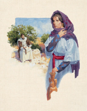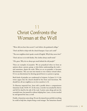# 11 Christ Confronts the Woman at the Well

"Wow, did you hear that accent? I can't believe she graduated college."

"Don't ask Rob to help with the church banquet. Guys can't cook!"

"The new neighbors don't speak a word of English. Why'd they move *here*?"

"Don't ask me to sit with Keisha. Her clothes always smell weird."

"Oh, great. Why do we always get stuck behind the old people?"

These are examples of *prejudice*. We are prejudiced when we form an opinion about a person, group, or idea before understanding the truth and sometimes, *despite* the truth. When we act on prejudice, it becomes discrimination. This can turn into hatred or even violence toward others. Or we can discriminate by showing special favors to a person or group.

Both kinds of prejudice are condemned in Scripture. In James 2:1–9, the writer argues that the church should be free from such favoritism. We should love all our neighbors as we love ourselves (v. 8).

To illustrate impartial love, Jesus told a parable about a compassionate Samaritan (Luke 10:30–37). In the story, a traveler was attacked by thieves and left for dead by the side of the road. A priest came along and saw the wounded man, but passed by without helping him. Later, a Levite traveled by and ignored the man, as well.

Finally, a Samaritan came along. He saw the injured man and did everything he could to help him, despite being a total stranger. The Samaritan cleaned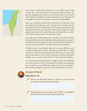

up the man's wounds and carried him to an inn. Most people would consider that a great kindness, but the Samaritan didn't stop there. He gave the innkeeper money to take care of the man until he was well, and if further funds were needed, the Samaritan promised to return and pay. Of the people in this story, the Samaritan was the true, loving neighbor.

Jesus' story would have shocked those who listened. At this time, many Jews despised the Samaritans, who descended from Israelites that had intermarried with other ethnic groups. The Samaritans represented a kind of national betrayal at a time when Jews suffered under foreign rule. Jewish religious leaders therefore avoided Samaritans and looked down on them. How could a Samaritan show more love than a priest?

Jesus made clear that His kingdom was not made up of a specific ethnicity, but rather all those who loved and followed God. Prejudice has no place in the believer's life. Jesus taught this truth, and He lived it by reaching out to young and old, rich and poor, man and woman, Jew and Samaritan.

To follow Jesus, we must therefore show love to anyone willing to accept it. We must help those who hurt—physically and spiritually—no matter who they are. And when someone chooses to follow Jesus, we must accept them as our brother or sister in Christ. God makes no distinction based on ethnicity, sex, or economic status (Gal. 3:27–29), and neither should we.

Are some Christians prejudiced? Yes. Is it right for them to be? Definitely not. In this lesson, note how Christ offered love without discrimination. As we study Him, we can follow His example and let go of our prejudices. And over time, with grace and patience, we can help others do the same.



# **Student Work**

## *Read John 4:1–42.*

Why do you think John interjects a comment in verse 9 that the Jews did not associate with the Samaritans?

What did Jesus mean by "living water"? What is the difference between the water in the well and this living water?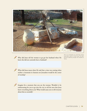

Why did Jesus tell the woman to go get her husband when He knew she did not currently have a husband?

This is an example of a well that would have been used in Christ's day. This well and the watering troughs are located at Tantur.

What did Jesus mean when He said that a time was coming when neither a mountain in Samaria nor Jerusalem would be the center of worship?

Imagine for a moment that you are the woman. Wouldn't it be embarrassing for you to go into the city to tell the men that Jesus knew everything about you? What would cause you to tell everyone about him so excitedly?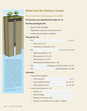

In 1866 a Lieutenant Anderson described the inside of Jacob's Well. He descended through "a narrow opening, just wide enough to allow the body of a man to pass through with arms uplifted, and this narrow neck, which is about 4 ft. long, opens into the well itself, which is cylindrically shaped, and about 7 ft., 6 in. in diameter. The mouth and upper part of the well are built of masonry, and the well appears to have been sunk through a mixture of alluvial soil and limestone fragments, till a compact bed of mountain limestone was reached, having horizontal strata which could be easily worked; and the interior of the well presents the appearance of having been lined throughout with rough masonry."

*(The Recovery of Jerusalem. New York: D. Appleton and Co., 1871.)*

# **Notes from the Teacher's Lesson**

## **Christ Confronts the Woman at the Well**

#### *The Occasion: Jesus Departed from Judea (4:1–3)*

#### *The Place and People (4:4)*

- Between Judea and Galilee
- Populated by a mixed race with a heathen core
- Looked upon with disgust and disdain

## *The Lord (4:5–42)*

|            | His |                                          |  |  |                                             | (vs. 6, 9) |  |
|------------|-----|------------------------------------------|--|--|---------------------------------------------|------------|--|
|            |     | Grew weary (vs. 6)                       |  |  |                                             |            |  |
|            |     | Looked like any other Jew (vs. 9)        |  |  |                                             |            |  |
|            | His |                                          |  |  | $(vs. 14-18, 25-26, 32)$                    |            |  |
|            |     | Offered eternal life (vs. 14)            |  |  |                                             |            |  |
|            |     | Was omniscient (vs. $16-18$ )            |  |  |                                             |            |  |
|            |     | Claimed deity (vs. 25-26)                |  |  |                                             |            |  |
|            |     | Was sustained by spiritual food (vs. 32) |  |  |                                             |            |  |
|            | His |                                          |  |  | and urgency to do God's will (vs. $34-35$ ) |            |  |
| $\bullet$  | His |                                          |  |  | for His disciples (vs. $35-38$ )            |            |  |
| Conclusion |     |                                          |  |  |                                             |            |  |

- Lessons about evangelism
	- Christ stirred her (vs. 7).
	- Christ made her face her (vs. 13–15).
	- Christ made her see her (vs. 16–18).
- Lessons about salvation (vs. 14)
	- Salvation is a .
	- Salvation brings
	- Salvation is for whoever will
	- Salvation is not related to race, wealth, or intellect.